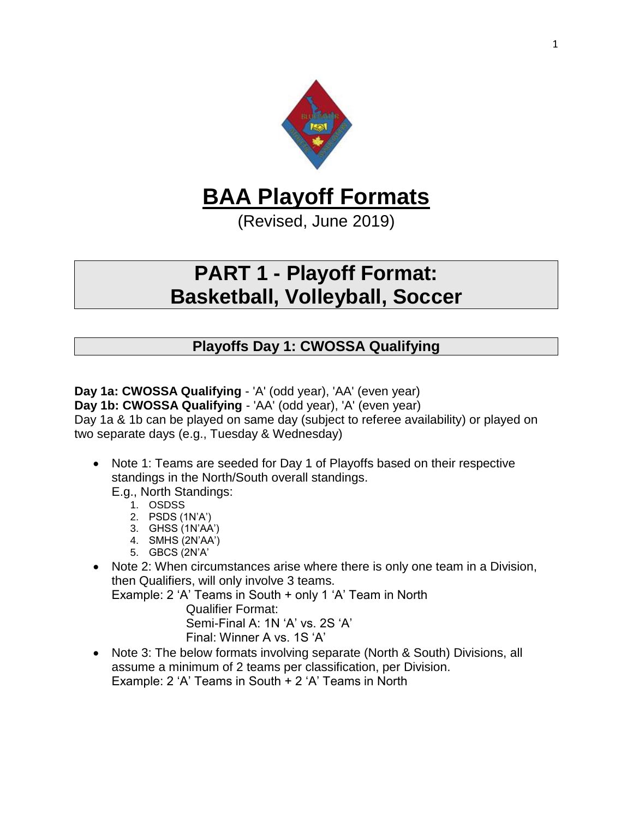

# **BAA Playoff Formats**

(Revised, June 2019)

## **PART 1 - Playoff Format: Basketball, Volleyball, Soccer**

## **Playoffs Day 1: CWOSSA Qualifying**

**Day 1a: CWOSSA Qualifying** - 'A' (odd year), 'AA' (even year)

**Day 1b: CWOSSA Qualifying** - 'AA' (odd year), 'A' (even year)

Day 1a & 1b can be played on same day (subject to referee availability) or played on two separate days (e.g., Tuesday & Wednesday)

• Note 1: Teams are seeded for Day 1 of Playoffs based on their respective standings in the North/South overall standings.

E.g., North Standings:

- 1. OSDSS
- 2. PSDS (1N'A')
- 3. GHSS (1N'AA')
- 4. SMHS (2N'AA')
- 5. GBCS (2N'A'
- Note 2: When circumstances arise where there is only one team in a Division, then Qualifiers, will only involve 3 teams.

Example: 2 'A' Teams in South + only 1 'A' Team in North

Qualifier Format:

Semi-Final A: 1N 'A' vs. 2S 'A' Final: Winner A vs. 1S 'A'

• Note 3: The below formats involving separate (North & South) Divisions, all assume a minimum of 2 teams per classification, per Division. Example: 2 'A' Teams in South + 2 'A' Teams in North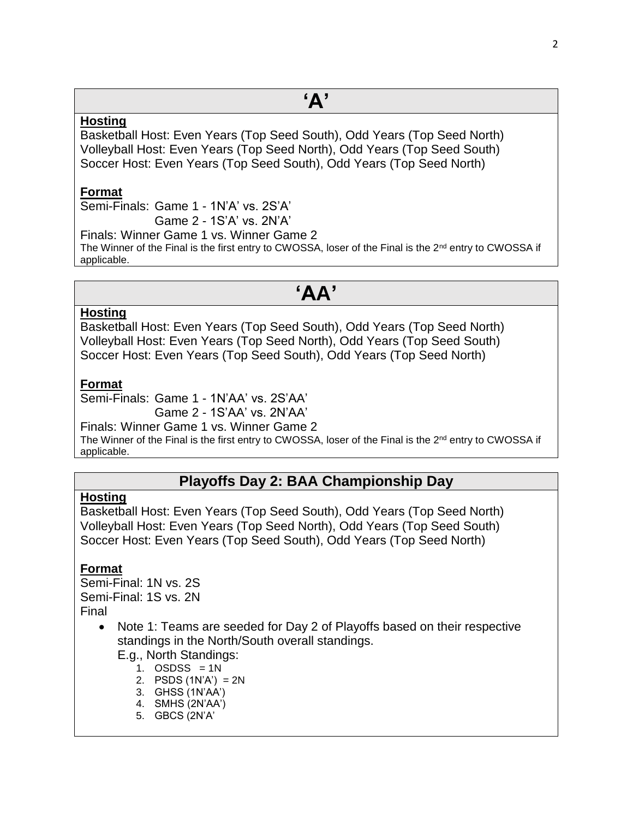# **'A'**

### **Hosting**

Basketball Host: Even Years (Top Seed South), Odd Years (Top Seed North) Volleyball Host: Even Years (Top Seed North), Odd Years (Top Seed South) Soccer Host: Even Years (Top Seed South), Odd Years (Top Seed North)

### **Format**

Semi-Finals: Game 1 - 1N'A' vs. 2S'A' Game 2 - 1S'A' vs. 2N'A'

Finals: Winner Game 1 vs. Winner Game 2

The Winner of the Final is the first entry to CWOSSA, loser of the Final is the  $2<sup>nd</sup>$  entry to CWOSSA if applicable.

## **'AA'**

### **Hosting**

Basketball Host: Even Years (Top Seed South), Odd Years (Top Seed North) Volleyball Host: Even Years (Top Seed North), Odd Years (Top Seed South) Soccer Host: Even Years (Top Seed South), Odd Years (Top Seed North)

### **Format**

Semi-Finals: Game 1 - 1N'AA' vs. 2S'AA'

Game 2 - 1S'AA' vs. 2N'AA'

Finals: Winner Game 1 vs. Winner Game 2 The Winner of the Final is the first entry to CWOSSA, loser of the Final is the 2<sup>nd</sup> entry to CWOSSA if applicable.

### **Playoffs Day 2: BAA Championship Day**

### **Hosting**

Basketball Host: Even Years (Top Seed South), Odd Years (Top Seed North) Volleyball Host: Even Years (Top Seed North), Odd Years (Top Seed South) Soccer Host: Even Years (Top Seed South), Odd Years (Top Seed North)

### **Format**

Semi-Final: 1N vs. 2S Semi-Final: 1S vs. 2N Final

> • Note 1: Teams are seeded for Day 2 of Playoffs based on their respective standings in the North/South overall standings.

E.g., North Standings:

- 1. OSDSS  $= 1N$
- 2. PSDS (1N'A') = 2N
- 3. GHSS (1N'AA')
- 4. SMHS (2N'AA')
- 5. GBCS (2N'A'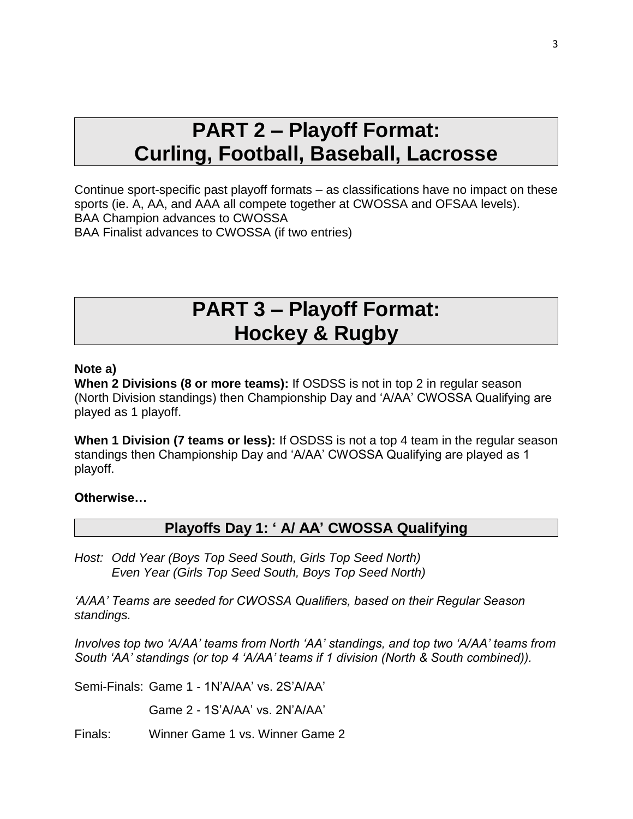# **PART 2 – Playoff Format: Curling, Football, Baseball, Lacrosse**

Continue sport-specific past playoff formats – as classifications have no impact on these sports (ie. A, AA, and AAA all compete together at CWOSSA and OFSAA levels). BAA Champion advances to CWOSSA BAA Finalist advances to CWOSSA (if two entries)

## **PART 3 – Playoff Format: Hockey & Rugby**

### **Note a)**

**When 2 Divisions (8 or more teams):** If OSDSS is not in top 2 in regular season (North Division standings) then Championship Day and 'A/AA' CWOSSA Qualifying are played as 1 playoff.

**When 1 Division (7 teams or less):** If OSDSS is not a top 4 team in the regular season standings then Championship Day and 'A/AA' CWOSSA Qualifying are played as 1 playoff.

### **Otherwise…**

### **Playoffs Day 1: ' A/ AA' CWOSSA Qualifying**

*Host: Odd Year (Boys Top Seed South, Girls Top Seed North) Even Year (Girls Top Seed South, Boys Top Seed North)*

*'A/AA' Teams are seeded for CWOSSA Qualifiers, based on their Regular Season standings.*

*Involves top two 'A/AA' teams from North 'AA' standings, and top two 'A/AA' teams from South 'AA' standings (or top 4 'A/AA' teams if 1 division (North & South combined)).*

Semi-Finals: Game 1 - 1N'A/AA' vs. 2S'A/AA'

Game 2 - 1S'A/AA' vs. 2N'A/AA'

Finals: Winner Game 1 vs. Winner Game 2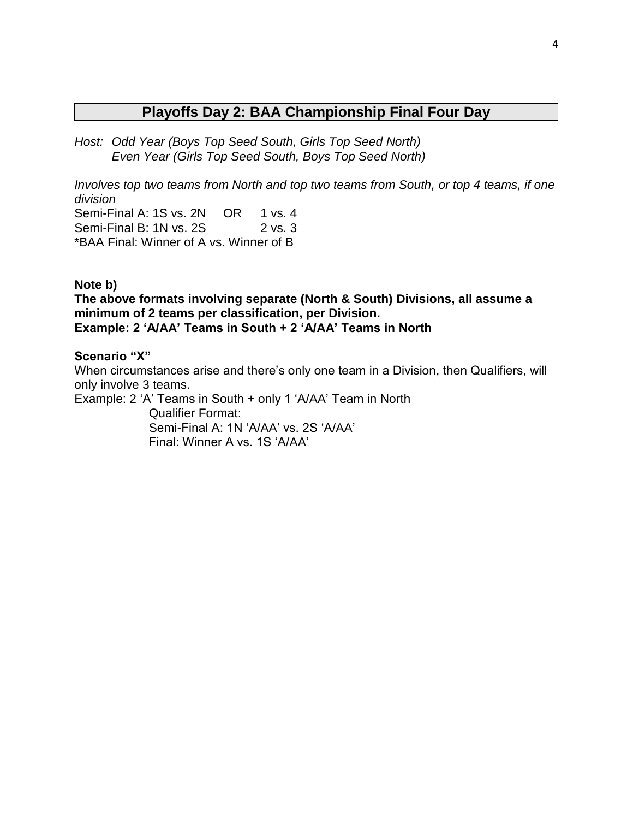## **Playoffs Day 2: BAA Championship Final Four Day**

*Host: Odd Year (Boys Top Seed South, Girls Top Seed North) Even Year (Girls Top Seed South, Boys Top Seed North)*

*Involves top two teams from North and top two teams from South, or top 4 teams, if one division* Semi-Final A: 1S vs. 2N OR 1 vs. 4 Semi-Final B: 1N vs. 2S 2 vs. 3

\*BAA Final: Winner of A vs. Winner of B

#### **Note b)**

**The above formats involving separate (North & South) Divisions, all assume a minimum of 2 teams per classification, per Division. Example: 2 'A/AA' Teams in South + 2 'A/AA' Teams in North**

#### **Scenario "X"**

When circumstances arise and there's only one team in a Division, then Qualifiers, will only involve 3 teams.

Example: 2 'A' Teams in South + only 1 'A/AA' Team in North Qualifier Format: Semi-Final A: 1N 'A/AA' vs. 2S 'A/AA' Final: Winner A vs. 1S 'A/AA'